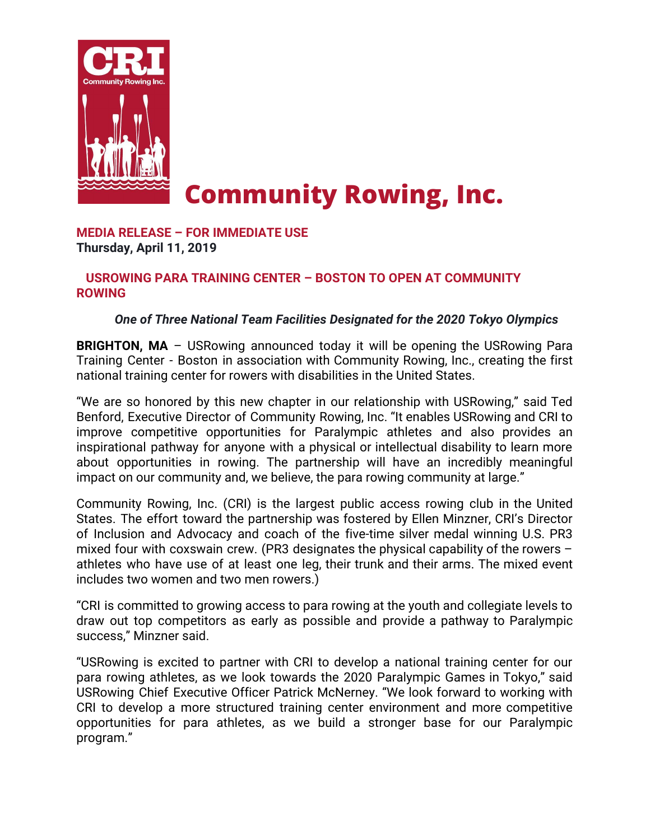

# **Community Rowing, Inc.**

**MEDIA RELEASE – FOR IMMEDIATE USE Thursday, April 11, 2019**

### **USROWING PARA TRAINING CENTER – BOSTON TO OPEN AT COMMUNITY ROWING**

## *One of Three National Team Facilities Designated for the 2020 Tokyo Olympics*

**BRIGHTON, MA** – USRowing announced today it will be opening the USRowing Para Training Center - Boston in association with Community Rowing, Inc., creating the first national training center for rowers with disabilities in the United States.

"We are so honored by this new chapter in our relationship with USRowing," said Ted Benford, Executive Director of Community Rowing, Inc. "It enables USRowing and CRI to improve competitive opportunities for Paralympic athletes and also provides an inspirational pathway for anyone with a physical or intellectual disability to learn more about opportunities in rowing. The partnership will have an incredibly meaningful impact on our community and, we believe, the para rowing community at large."

Community Rowing, Inc. (CRI) is the largest public access rowing club in the United States. The effort toward the partnership was fostered by Ellen Minzner, CRI's Director of Inclusion and Advocacy and coach of the five-time silver medal winning U.S. PR3 mixed four with coxswain crew. (PR3 designates the physical capability of the rowers – athletes who have use of at least one leg, their trunk and their arms. The mixed event includes two women and two men rowers.)

"CRI is committed to growing access to para rowing at the youth and collegiate levels to draw out top competitors as early as possible and provide a pathway to Paralympic success," Minzner said.

"USRowing is excited to partner with CRI to develop a national training center for our para rowing athletes, as we look towards the 2020 Paralympic Games in Tokyo," said USRowing Chief Executive Officer Patrick McNerney. "We look forward to working with CRI to develop a more structured training center environment and more competitive opportunities for para athletes, as we build a stronger base for our Paralympic program."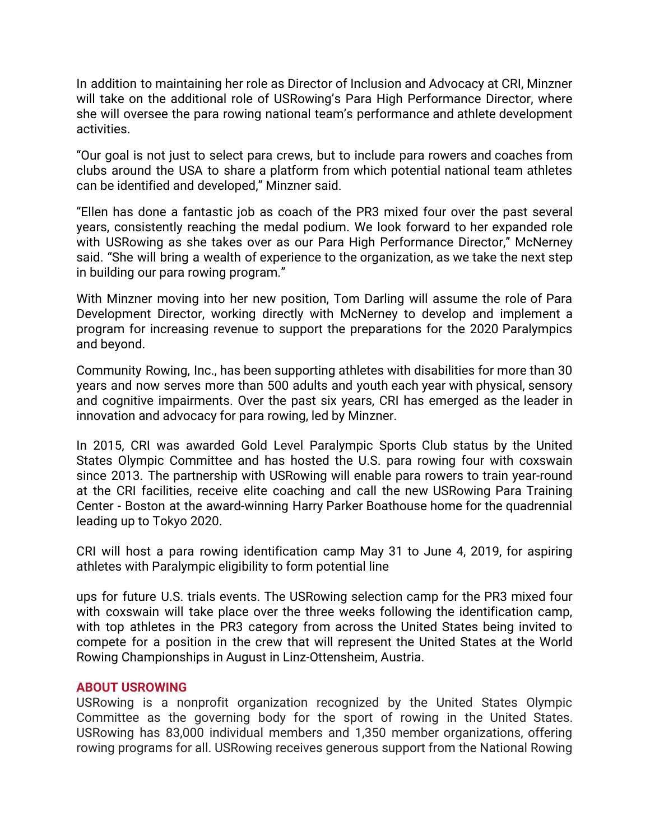In addition to maintaining her role as Director of Inclusion and Advocacy at CRI, Minzner will take on the additional role of USRowing's Para High Performance Director, where she will oversee the para rowing national team's performance and athlete development activities.

"Our goal is not just to select para crews, but to include para rowers and coaches from clubs around the USA to share a platform from which potential national team athletes can be identified and developed," Minzner said.

"Ellen has done a fantastic job as coach of the PR3 mixed four over the past several years, consistently reaching the medal podium. We look forward to her expanded role with USRowing as she takes over as our Para High Performance Director," McNerney said. "She will bring a wealth of experience to the organization, as we take the next step in building our para rowing program."

With Minzner moving into her new position, Tom Darling will assume the role of Para Development Director, working directly with McNerney to develop and implement a program for increasing revenue to support the preparations for the 2020 Paralympics and beyond.

Community Rowing, Inc., has been supporting athletes with disabilities for more than 30 years and now serves more than 500 adults and youth each year with physical, sensory and cognitive impairments. Over the past six years, CRI has emerged as the leader in innovation and advocacy for para rowing, led by Minzner.

In 2015, CRI was awarded Gold Level Paralympic Sports Club status by the United States Olympic Committee and has hosted the U.S. para rowing four with coxswain since 2013. The partnership with USRowing will enable para rowers to train year-round at the CRI facilities, receive elite coaching and call the new USRowing Para Training Center - Boston at the award-winning Harry Parker Boathouse home for the quadrennial leading up to Tokyo 2020.

CRI will host a para rowing identification camp May 31 to June 4, 2019, for aspiring athletes with Paralympic eligibility to form potential line

ups for future U.S. trials events. The USRowing selection camp for the PR3 mixed four with coxswain will take place over the three weeks following the identification camp, with top athletes in the PR3 category from across the United States being invited to compete for a position in the crew that will represent the United States at the World Rowing Championships in August in Linz-Ottensheim, Austria.

#### **ABOUT USROWING**

USRowing is a nonprofit organization recognized by the United States Olympic Committee as the governing body for the sport of rowing in the United States. USRowing has 83,000 individual members and 1,350 member organizations, offering rowing programs for all. USRowing receives generous support from the National Rowing